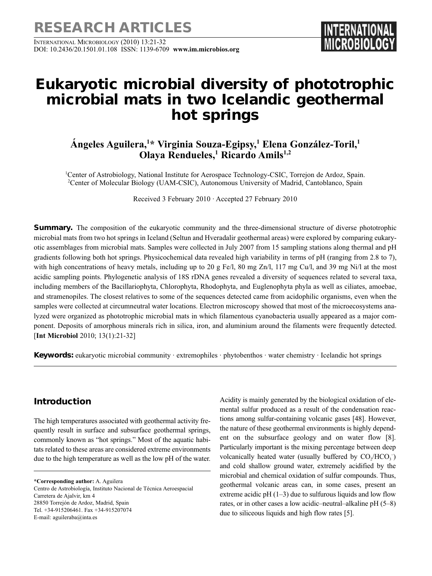**RESEARCH ARTICLES**

INTERNATIONAL MICROBIOLOGY (2010) 13:21-32 DOI: 10.2436/20.1501.01.108 ISSN: 1139-6709 **www.im.microbios.org** 

# **Eukaryotic microbial diversity of phototrophic microbial mats in two Icelandic geothermal hot springs**

# **Ángeles Aguilera,1 \* Virginia Souza-Egipsy,1 Elena González-Toril,1 Olaya Rendueles,<sup>1</sup> Ricardo Amils<sup>1,2</sup>**

<sup>1</sup>Center of Astrobiology, National Institute for Aerospace Technology-CSIC, Torrejon de Ardoz, Spain. 2 Center of Molecular Biology (UAM-CSIC), Autonomous University of Madrid, Cantoblanco, Spain

Received 3 February 2010 · Accepted 27 February 2010

**Summary.** The composition of the eukaryotic community and the three-dimensional structure of diverse phototrophic microbial mats from two hot springs in Iceland (Seltun and Hveradalir geothermal areas) were explored by comparing eukaryotic assemblages from microbial mats. Samples were collected in July 2007 from 15 sampling stations along thermal and pH gradients following both hot springs. Physicochemical data revealed high variability in terms of pH (ranging from 2.8 to 7), with high concentrations of heavy metals, including up to 20 g Fe/l, 80 mg Zn/l, 117 mg Cu/l, and 39 mg Ni/l at the most acidic sampling points. Phylogenetic analysis of 18S rDNA genes revealed a diversity of sequences related to several taxa, including members of the Bacillariophyta, Chlorophyta, Rhodophyta, and Euglenophyta phyla as well as ciliates, amoebae, and stramenopiles. The closest relatives to some of the sequences detected came from acidophilic organisms, even when the samples were collected at circumneutral water locations. Electron microscopy showed that most of the microecosystems analyzed were organized as phototrophic microbial mats in which filamentous cyanobacteria usually appeared as a major component. Deposits of amorphous minerals rich in silica, iron, and aluminium around the filaments were frequently detected. [**Int Microbiol** 2010; 13(1):21-32]

**Keywords:** eukaryotic microbial community · extremophiles · phytobenthos · water chemistry · Icelandic hot springs

## **Introduction**

The high temperatures associated with geothermal activity frequently result in surface and subsurface geothermal springs, commonly known as "hot springs." Most of the aquatic habitats related to these areas are considered extreme environments due to the high temperature as well as the low pH of the water.

**\*Corresponding author:** A. Aguilera

Centro de Astrobiología, Instituto Nacional de Técnica Aeroespacial Carretera de Ajalvir, km 4 28850 Torrejón de Ardoz, Madrid, Spain Tel. +34-915206461. Fax +34-915207074 E-mail: aguileraba@inta.es

Acidity is mainly generated by the biological oxidation of elemental sulfur produced as a result of the condensation reactions among sulfur-containing volcanic gases [48]. However, the nature of these geothermal environments is highly dependent on the subsurface geology and on water flow [8]. Particularly important is the mixing percentage between deep volcanically heated water (usually buffered by  $CO_2/HCO_3^-$ ) and cold shallow ground water, extremely acidified by the microbial and chemical oxidation of sulfur compounds. Thus, geothermal volcanic areas can, in some cases, present an extreme acidic  $pH(1-3)$  due to sulfurous liquids and low flow rates, or in other cases a low acidic–neutral–alkaline pH (5–8) due to siliceous liquids and high flow rates [5].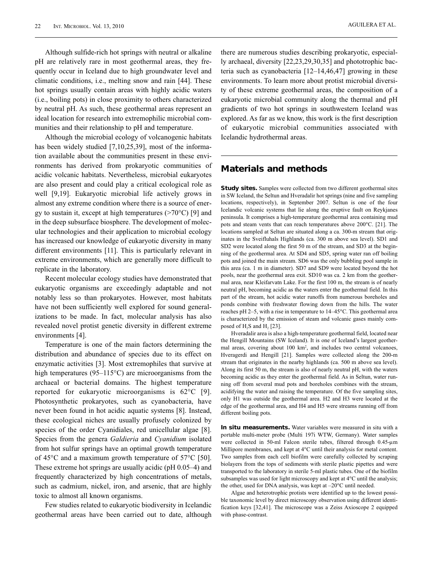AGUILERA ET AL.

Although sulfide-rich hot springs with neutral or alkaline pH are relatively rare in most geothermal areas, they frequently occur in Iceland due to high groundwater level and climatic conditions, i.e., melting snow and rain [44]. These hot springs usually contain areas with highly acidic waters (i.e., boiling pots) in close proximity to others characterized by neutral pH. As such, these geothermal areas represent an ideal location for research into extremophilic microbial communities and their relationship to pH and temperature.

Although the microbial ecology of volcanogenic habitats has been widely studied [7,10,25,39], most of the information available about the communities present in these environments has derived from prokaryotic communities of acidic volcanic habitats. Nevertheless, microbial eukaryotes are also present and could play a critical ecological role as well [9,19]. Eukaryotic microbial life actively grows in almost any extreme condition where there is a source of energy to sustain it, except at high temperatures  $(>=70^{\circ}C)$  [9] and in the deep subsurface biosphere. The development of molecular technologies and their application to microbial ecology has increased our knowledge of eukaryotic diversity in many different environments [11]. This is particularly relevant in extreme environments, which are generally more difficult to replicate in the laboratory.

Recent molecular ecology studies have demonstrated that eukaryotic organisms are exceedingly adaptable and not notably less so than prokaryotes. However, most habitats have not been sufficiently well explored for sound generalizations to be made. In fact, molecular analysis has also revealed novel protist genetic diversity in different extreme environments [4].

Temperature is one of the main factors determining the distribution and abundance of species due to its effect on enzymatic activities [3]. Most extremophiles that survive at high temperatures (95–115°C) are microorganisms from the archaeal or bacterial domains. The highest temperature reported for eukaryotic microorganisms is 62°C [9]. Photosynthetic prokaryotes, such as cyanobacteria, have never been found in hot acidic aquatic systems [8]. Instead, these ecological niches are usually profusely colonized by species of the order Cyanidiales, red unicellular algae [8]. Species from the genera *Galdieria* and *Cyanidium* isolated from hot sulfur springs have an optimal growth temperature of 45°C and a maximum growth temperature of 57°C [50]. These extreme hot springs are usually acidic (pH 0.05–4) and frequently characterized by high concentrations of metals, such as cadmium, nickel, iron, and arsenic, that are highly toxic to almost all known organisms.

Few studies related to eukaryotic biodiversity in Icelandic geothermal areas have been carried out to date, although there are numerous studies describing prokaryotic, especially archaeal, diversity [22,23,29,30,35] and phototrophic bacteria such as cyanobacteria [12–14,46,47] growing in these environments. To learn more about protist microbial diversity of these extreme geothermal areas, the composition of a eukaryotic microbial community along the thermal and pH gradients of two hot springs in southwestern Iceland was explored. As far as we know, this work is the first description of eukaryotic microbial communities associated with Icelandic hydrothermal areas.

#### **Materials and methods**

**Study sites.** Samples were collected from two different geothermal sites in SW Iceland, the Seltun and Hveradalir hot springs (nine and five sampling locations, respectively), in September 2007. Seltun is one of the four Icelandic volcanic systems that lie along the eruptive fault on Reykjanes peninsula. It comprises a high-temperature geothermal area containing mud pots and steam vents that can reach temperatures above 200°C. [21]. The locations sampled at Seltun are situated along a ca. 300-m stream that originates in the Sveifluhals Highlands (ca. 300 m above sea level). SD1 and SD2 were located along the first 50 m of the stream, and SD3 at the beginning of the geothermal area. At SD4 and SD5, spring water ran off boiling pots and joined the main stream. SD6 was the only bubbling pool sample in this area (ca. 1 m in diameter). SD7 and SD9 were located beyond the hot pools, near the geothermal area exit. SD10 was ca. 2 km from the geothermal area, near Kleifarvatn Lake. For the first 100 m, the stream is of nearly neutral pH, becoming acidic as the waters enter the geothermal field. In this part of the stream, hot acidic water runoffs from numerous boreholes and ponds combine with freshwater flowing down from the hills. The water reaches pH 2–5, with a rise in temperature to 14–45°C. This geothermal area is characterized by the emission of steam and volcanic gases mainly composed of  $H$ ,  $S$  and  $H$ ,  $[23]$ .

Hveradalir area is also a high-temperature geothermal field, located near the Hengill Mountains (SW Iceland). It is one of Iceland's largest geothermal areas, covering about  $100 \text{ km}^2$ , and includes two central volcanoes, Hveragerdi and Hengill [21]. Samples were collected along the 200-m stream that originates in the nearby highlands (ca. 500 m above sea level). Along its first 50 m, the stream is also of nearly neutral pH, with the waters becoming acidic as they enter the geothermal field. As in Seltun, water running off from several mud pots and boreholes combines with the stream, acidifying the water and raising the temperature. Of the five sampling sites, only H1 was outside the geothermal area. H2 and H3 were located at the edge of the geothermal area, and H4 and H5 were streams running off from different boiling pots.

**In situ measurements.** Water variables were measured in situ with a portable multi-meter probe (Multi 197i WTW, Germany). Water samples were collected in 50-ml Falcon sterile tubes, filtered through 0.45-μm Millipore membranes, and kept at 4°C until their analysis for metal content. Two samples from each cell biofilm were carefully collected by scraping biolayers from the tops of sediments with sterile plastic pipettes and were transported to the laboratory in sterile 5-ml plastic tubes. One of the biofilm subsamples was used for light microscopy and kept at 4°C until the analysis; the other, used for DNA analysis, was kept at –20°C until needed.

Algae and heterotrophic protists were identified up to the lowest possible taxonomic level by direct microscopy observation using different identification keys [32,41]. The microscope was a Zeiss Axioscope 2 equipped with phase-contrast.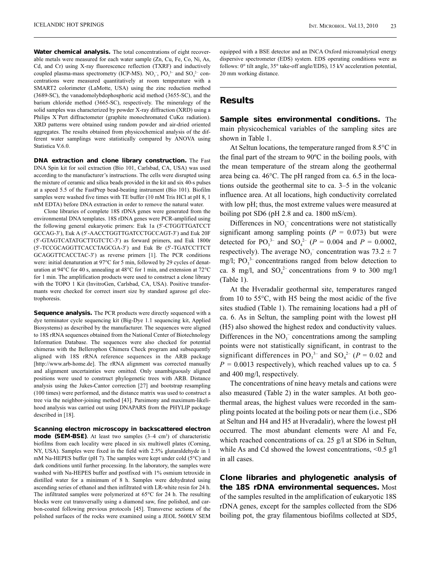Water chemical analysis. The total concentrations of eight recoverable metals were measured for each water sample (Zn, Cu, Fe, Co, Ni, As, Cd, and Cr) using X-ray fluorescence reflection (TXRF) and inductively coupled plasma-mass spectrometry (ICP-MS).  $NO_3^-$ ,  $PO_3^{3-}$  and  $SO_4^{2-}$  concentrations were measured quantitatively at room temperature with a SMART2 colorimeter (LaMotte, USA) using the zinc reduction method (3689-SC), the vanadomolybdophosphoric acid method (3655-SC), and the barium chloride method (3665-SC), respectively. The mineralogy of the solid samples was characterized by powder X-ray diffraction (XRD) using a Philips X´Pert diffractometer (graphite monochromated CuKα radiation). XRD patterns were obtained using random powder and air-dried oriented aggregates. The results obtained from physicochemical analysis of the different water samplings were statistically compared by ANOVA using Statistica V.6.0.

**DNA extraction and clone library construction.** The Fast DNA Spin kit for soil extraction (Bio 101, Carlsbad, CA, USA) was used according to the manufacturer's instructions. The cells were disrupted using the mixture of ceramic and silica beads provided in the kit and six 40-s pulses at a speed 5.5 of the FastPrep bead-beating instrument (Bio 101). Biofilm samples were washed five times with TE buffer (10 mM Tris HCl at pH 8, 1 mM EDTA) before DNA extraction in order to remove the natural water.

Clone libraries of complete 18S rDNA genes were generated from the environmental DNA templates. 18S rDNA genes were PCR-amplified using the following general eukaryotic primers: Euk 1a (5′-CTGGTTGATCCT GCCAG-3′), Euk A (5′-AACCTGGTTGATCCTGCCAGT-3′) and Euk 20F (5′-GTAGTCATATGCTTGTCTC-3′) as forward primers, and Euk 1800r (5′-TCCGCAGGTTCACCTAGCGA-3′) and Euk Br (5′-TGATCCTTCT GCAGGTTCACCTAC-3′) as reverse primers [1]. The PCR conditions were: initial denaturation at 97°C for 5 min, followed by 29 cycles of denaturation at 94°C for 40 s, annealing at 48°C for 1 min, and extension at 72°C for 1 min. The amplification products were used to construct a clone library with the TOPO 1 Kit (InvitroGen, Carlsbad, CA, USA). Positive transformants were checked for correct insert size by standard agarose gel electrophoresis.

**Sequence analysis.** The PCR products were directly sequenced with a dye terminator cycle sequencing kit (Big-Dye 1.1 sequencing kit, Applied Biosystems) as described by the manufacturer. The sequences were aligned to 18S rRNA sequences obtained from the National Center of Biotechnology Information Database. The sequences were also checked for potential chimeras with the Bellerophon Chimera Check program and subsequently aligned with 18S rRNA reference sequences in the ARB package [http://www.arb-home.de]. The rRNA alignment was corrected manually and alignment uncertainties were omitted. Only unambiguously aligned positions were used to construct phylogenetic trees with ARB. Distance analysis using the Jukes-Cantor correction [27] and bootstrap resampling (100 times) were performed, and the distance matrix was used to construct a tree via the neighbor-joining method [43]. Parsimony and maximum-likelihood analysis was carried out using DNAPARS from the PHYLIP package described in [18].

**Scanning electron microscopy in backscattered electron mode (SEM-BSE)**. At least two samples (3–4 cm<sup>3</sup>) of characteristic biofilms from each locality were placed in six multiwell plates (Corning, NY, USA). Samples were fixed in the field with 2.5% glutaraldehyde in 1 mM Na-HEPES buffer (pH 7). The samples were kept under cold (5°C) and dark conditions until further processing. In the laboratory, the samples were washed with Na-HEPES buffer and postfixed with 1% osmium tetroxide in distilled water for a minimum of 8 h. Samples were dehydrated using ascending series of ethanol and then infiltrated with LR-white resin for 24 h. The infiltrated samples were polymerized at 65°C for 24 h. The resulting blocks were cut transversally using a diamond saw, fine polished, and carbon-coated following previous protocols [45]. Transverse sections of the polished surfaces of the rocks were examined using a JEOL 5600LV SEM equipped with a BSE detector and an INCA Oxford microanalytical energy dispersive spectrometer (EDS) system. EDS operating conditions were as follows: 0° tilt angle, 35° take-off angle/EDS), 15 kV acceleration potential, 20 mm working distance.

#### **Results**

**Sample sites environmental conditions.** The main physicochemical variables of the sampling sites are shown in Table 1.

At Seltun locations, the temperature ranged from 8.5°C in the final part of the stream to 90ºC in the boiling pools, with the mean temperature of the stream along the geothermal area being ca. 46°C. The pH ranged from ca. 6.5 in the locations outside the geothermal site to ca. 3–5 in the volcanic influence area. At all locations, high conductivity correlated with low pH; thus, the most extreme values were measured at boiling pot SD6 (pH 2.8 and ca. 1800 mS/cm).

Differences in  $NO<sub>3</sub><sup>-</sup>$  concentrations were not statistically significant among sampling points  $(P = 0.073)$  but were detected for  $PO_3^{3-}$  and  $SO_4^{2-}$  ( $P = 0.004$  and  $P = 0.0002$ , respectively). The average  $NO_3^-$  concentration was  $73.2 \pm 7$ mg/l;  $PO_3^3$  concentrations ranged from below detection to ca. 8 mg/l, and  $SO_4^2$  concentrations from 9 to 300 mg/l (Table 1).

At the Hveradalir geothermal site, temperatures ranged from 10 to 55°C, with H5 being the most acidic of the five sites studied (Table 1). The remaining locations had a pH of ca. 6. As in Seltun, the sampling point with the lowest pH (H5) also showed the highest redox and conductivity values. Differences in the  $NO_3^-$  concentrations among the sampling points were not statistically significant, in contrast to the significant differences in  $PO_3^{3-}$  and  $SO_4^{2-}$  ( $P = 0.02$  and  $P = 0.0013$  respectively), which reached values up to ca. 5 and 400 mg/l, respectively.

The concentrations of nine heavy metals and cations were also measured (Table 2) in the water samples. At both geothermal areas, the highest values were recorded in the sampling points located at the boiling pots or near them (i.e., SD6 at Seltun and H4 and H5 at Hveradalir), where the lowest pH occurred. The most abundant elements were Al and Fe, which reached concentrations of ca. 25 g/l at SD6 in Seltun, while As and Cd showed the lowest concentrations, <0.5 g/l in all cases.

**Clone libraries and phylogenetic analysis of the 18S rDNA environmental sequences.** Most of the samples resulted in the amplification of eukaryotic 18S rDNA genes, except for the samples collected from the SD6 boiling pot, the gray filamentous biofilms collected at SD5,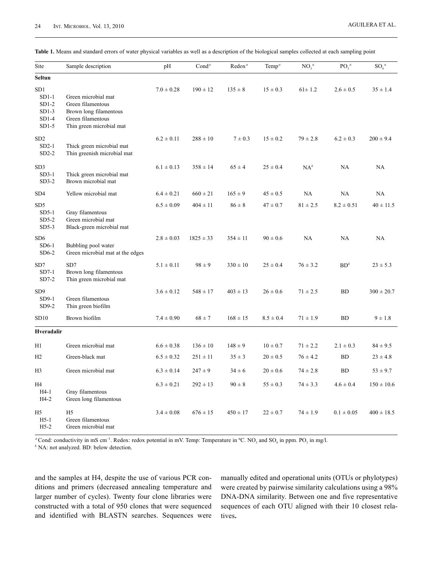|  |  |  |  |  |  | Table 1. Means and standard errors of water physical variables as well as a description of the biological samples collected at each sampling point |  |  |  |  |  |  |  |  |  |  |  |  |  |  |  |  |  |
|--|--|--|--|--|--|----------------------------------------------------------------------------------------------------------------------------------------------------|--|--|--|--|--|--|--|--|--|--|--|--|--|--|--|--|--|
|--|--|--|--|--|--|----------------------------------------------------------------------------------------------------------------------------------------------------|--|--|--|--|--|--|--|--|--|--|--|--|--|--|--|--|--|

| Site                                                                   | Sample description                                                                                                  | pH             | Cond <sup>a</sup> | Redox <sup>a</sup> | Temp <sup><math>a</math></sup> | NO <sub>3</sub> <sup>a</sup> | $PO_3^a$       | $SO_4^a$       |
|------------------------------------------------------------------------|---------------------------------------------------------------------------------------------------------------------|----------------|-------------------|--------------------|--------------------------------|------------------------------|----------------|----------------|
| <b>Seltun</b>                                                          |                                                                                                                     |                |                   |                    |                                |                              |                |                |
| SD <sub>1</sub><br>$SD1-1$<br>$SD1-2$<br>$SD1-3$<br>$SD1-4$<br>$SD1-5$ | Green microbial mat<br>Green filamentous<br>Brown long filamentous<br>Green filamentous<br>Thin green microbial mat | $7.0 \pm 0.28$ | $190 \pm 12$      | $135 \pm 8$        | $15 \pm 0.3$                   | $61 \pm 1.2$                 | $2.6 \pm 0.5$  | $35 \pm 1.4$   |
| SD <sub>2</sub><br>$SD2-1$<br>$SD2-2$                                  | Thick green microbial mat<br>Thin greenish microbial mat                                                            | $6.2 \pm 0.11$ | $288 \pm 10$      | $7 \pm 0.3$        | $15 \pm 0.2$                   | $79 \pm 2.8$                 | $6.2 \pm 0.3$  | $200 \pm 9.4$  |
| SD <sub>3</sub><br>$SD3-1$<br>$SD3-2$                                  | Thick green microbial mat<br>Brown microbial mat                                                                    | $6.1 \pm 0.13$ | $358 \pm 14$      | $65 \pm 4$         | $25 \pm 0.4$                   | $NA^b$                       | NA             | NA             |
| SD <sub>4</sub>                                                        | Yellow microbial mat                                                                                                | $6.4 \pm 0.21$ | $660 \pm 21$      | $165 \pm 9$        | $45 \pm 0.5$                   | NA                           | NA             | NA             |
| SD <sub>5</sub><br>$SD5-1$<br>$SD5-2$<br>$SD5-3$                       | Gray filamentous<br>Green microbial mat<br>Black-green microbial mat                                                | $6.5 \pm 0.09$ | $404 \pm 11$      | $86 \pm 8$         | $47 \pm 0.7$                   | $81 \pm 2.5$                 | $8.2 \pm 0.51$ | $40 \pm 11.5$  |
| SD <sub>6</sub><br>$SD6-1$<br>$SD6-2$                                  | Bubbling pool water<br>Green microbial mat at the edges                                                             | $2.8 \pm 0.03$ | $1825 \pm 33$     | $354 \pm 11$       | $90 \pm 0.6$                   | NA                           | NA             | NA             |
| SD7<br>$SD7-1$<br>$SD7-2$                                              | SD7<br>Brown long filamentous<br>Thin green microbial mat                                                           | $5.1 \pm 0.11$ | $98 \pm 9$        | $330 \pm 10$       | $25 \pm 0.4$                   | $76 \pm 3.2$                 | $BD^b$         | $23 \pm 5.3$   |
| SD <sub>9</sub><br>$SD9-1$<br>$SD9-2$                                  | Green filamentous<br>Thin green biofilm                                                                             | $3.6 \pm 0.12$ | $548 \pm 17$      | $403 \pm 13$       | $26 \pm 0.6$                   | $71 \pm 2.5$                 | <b>BD</b>      | $300 \pm 20.7$ |
| SD10                                                                   | Brown biofilm                                                                                                       | $7.4 \pm 0.90$ | $68 \pm 7$        | $168 \pm 15$       | $8.5 \pm 0.4$                  | $71 \pm 1.9$                 | BD             | $9 \pm 1.8$    |
| Hveradalir                                                             |                                                                                                                     |                |                   |                    |                                |                              |                |                |
| H1                                                                     | Green microbial mat                                                                                                 | $6.6 \pm 0.38$ | $136 \pm 10$      | $148 \pm 9$        | $10 \pm 0.7$                   | $71 \pm 2.2$                 | $2.1 \pm 0.3$  | $84 \pm 9.5$   |
| H2                                                                     | Green-black mat                                                                                                     | $6.5 \pm 0.32$ | $251 \pm 11$      | $35 \pm 3$         | $20 \pm 0.5$                   | $76 \pm 4.2$                 | <b>BD</b>      | $23 \pm 4.8$   |
| H <sub>3</sub>                                                         | Green microbial mat                                                                                                 | $6.3 \pm 0.14$ | $247 \pm 9$       | $34 \pm 6$         | $20 \pm 0.6$                   | $74 \pm 2.8$                 | <b>BD</b>      | $53 \pm 9.7$   |
| H4<br>$H4-1$<br>$H4-2$                                                 | Gray filamentous<br>Green long filamentous                                                                          | $6.3 \pm 0.21$ | $292 \pm 13$      | $90 \pm 8$         | $55 \pm 0.3$                   | $74 \pm 3.3$                 | $4.6 \pm 0.4$  | $150 \pm 10.6$ |
| H <sub>5</sub><br>$H5-1$<br>$H5-2$                                     | H <sub>5</sub><br>Green filamentous<br>Green microbial mat                                                          | $3.4 \pm 0.08$ | $676 \pm 15$      | $450 \pm 17$       | $22 \pm 0.7$                   | $74 \pm 1.9$                 | $0.1 \pm 0.05$ | $400 \pm 18.5$ |

<sup>*a*</sup> Cond: conductivity in mS cm<sup>-1</sup>. Redox: redox potential in mV. Temp: Temperature in <sup>o</sup>C. NO<sub>3</sub> and SO<sub>4</sub> in ppm. PO<sub>3</sub> in mg/l.

*b* NA: not analyzed. BD: below detection.

and the samples at H4, despite the use of various PCR conditions and primers (decreased annealing temperature and larger number of cycles). Twenty four clone libraries were constructed with a total of 950 clones that were sequenced and identified with BLASTN searches. Sequences were manually edited and operational units (OTUs or phylotypes) were created by pairwise similarity calculations using a 98% DNA-DNA similarity. Between one and five representative sequences of each OTU aligned with their 10 closest relatives**.**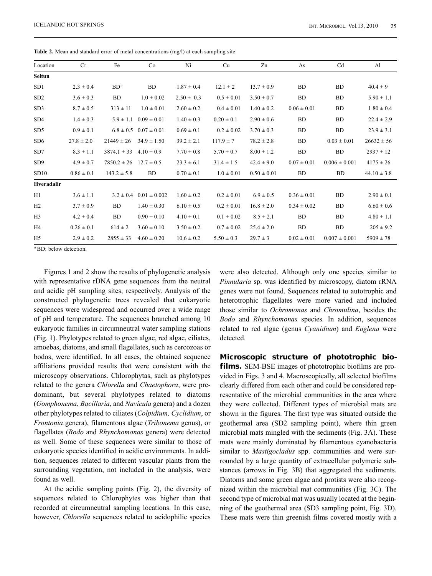| Location        | Cr             | Fe              | Co                             | Ni             | Cu             | Zn              | As              | Cd                | Al              |
|-----------------|----------------|-----------------|--------------------------------|----------------|----------------|-----------------|-----------------|-------------------|-----------------|
| <b>Seltun</b>   |                |                 |                                |                |                |                 |                 |                   |                 |
| SD1             | $2.3 \pm 0.4$  | $BD^a$          | <b>BD</b>                      | $1.87 \pm 0.4$ | $12.1 \pm 2$   | $13.7 \pm 0.9$  | <b>BD</b>       | <b>BD</b>         | $40.4 \pm 9$    |
| SD2             | $3.6 \pm 0.3$  | <b>BD</b>       | $1.0 \pm 0.02$                 | $2.50 \pm 0.3$ | $0.5 \pm 0.01$ | $3.50 \pm 0.7$  | <b>BD</b>       | <b>BD</b>         | $5.90 \pm 1.1$  |
| SD <sub>3</sub> | $8.7 \pm 0.5$  | $313 \pm 11$    | $1.0 \pm 0.01$                 | $2.60 \pm 0.2$ | $0.4 \pm 0.01$ | $1.40 \pm 0.2$  | $0.06 \pm 0.01$ | <b>BD</b>         | $1.80 \pm 0.4$  |
| SD <sub>4</sub> | $1.4 \pm 0.3$  | $5.9 \pm 1.1$   | $0.09 \pm 0.01$                | $1.40 \pm 0.3$ | $0.20 \pm 0.1$ | $2.90 \pm 0.6$  | <b>BD</b>       | <b>BD</b>         | $22.4 \pm 2.9$  |
| SD5             | $0.9 \pm 0.1$  |                 | $6.8 \pm 0.5$ $0.07 \pm 0.01$  | $0.69 \pm 0.1$ | $0.2 \pm 0.02$ | $3.70 \pm 0.3$  | <b>BD</b>       | <b>BD</b>         | $23.9 \pm 3.1$  |
| SD <sub>6</sub> | $27.8 \pm 2.0$ | $21449 \pm 26$  | $34.9 \pm 1.50$                | $39.2 \pm 2.1$ | $117.9 \pm 7$  | $78.2 \pm 2.8$  | <b>BD</b>       | $0.03 \pm 0.01$   | $26632 \pm 56$  |
| SD7             | $8.3 \pm 1.1$  | $3874.1 \pm 33$ | $4.10 \pm 0.9$                 | $7.70 \pm 0.8$ | $5.70 \pm 0.7$ | $8.00 \pm 1.2$  | <b>BD</b>       | <b>BD</b>         | $2937 \pm 12$   |
| SD <sub>9</sub> | $4.9 \pm 0.7$  | $7850.2 \pm 26$ | $12.7 \pm 0.5$                 | $23.3 \pm 6.1$ | $31.4 \pm 1.5$ | $42.4 \pm 9.0$  | $0.07 \pm 0.01$ | $0.006 \pm 0.001$ | $4175 \pm 26$   |
| SD10            | $0.86 \pm 0.1$ | $143.2 \pm 5.8$ | BD.                            | $0.70 \pm 0.1$ | $1.0 \pm 0.01$ | $0.50 \pm 0.01$ | <b>BD</b>       | BD.               | $44.10 \pm 3.8$ |
| Hveradalir      |                |                 |                                |                |                |                 |                 |                   |                 |
| H1              | $3.6 \pm 1.1$  |                 | $3.2 \pm 0.4$ $0.01 \pm 0.002$ | $1.60 \pm 0.2$ | $0.2 \pm 0.01$ | $6.9 \pm 0.5$   | $0.36 \pm 0.01$ | BD                | $2.90 \pm 0.1$  |
| H2              | $3.7 \pm 0.9$  | <b>BD</b>       | $1.40 \pm 0.30$                | $6.10 \pm 0.5$ | $0.2 \pm 0.01$ | $16.8 \pm 2.0$  | $0.34 \pm 0.02$ | <b>BD</b>         | $6.60 \pm 0.6$  |
| H <sub>3</sub>  | $4.2 \pm 0.4$  | BD.             | $0.90 \pm 0.10$                | $4.10 \pm 0.1$ | $0.1 \pm 0.02$ | $8.5 \pm 2.1$   | <b>BD</b>       | <b>BD</b>         | $4.80 \pm 1.1$  |
| H4              | $0.26 \pm 0.1$ | $614 \pm 2$     | $3.60 \pm 0.10$                | $3.50 \pm 0.2$ | $0.7 \pm 0.02$ | $25.4 \pm 2.0$  | <b>BD</b>       | <b>BD</b>         | $205 \pm 9.2$   |
| H <sub>5</sub>  | $2.9 \pm 0.2$  | $2855 \pm 33$   | $4.60 \pm 0.20$                | $10.6 \pm 0.2$ | $5.50 \pm 0.3$ | $29.7 \pm 3$    | $0.02 \pm 0.01$ | $0.007 \pm 0.001$ | $5909 \pm 78$   |
|                 |                |                 |                                |                |                |                 |                 |                   |                 |

**Table 2.** Mean and standard error of metal concentrations (mg/l) at each sampling site

*ª* BD: below detection.

Figures 1 and 2 show the results of phylogenetic analysis with representative rDNA gene sequences from the neutral and acidic pH sampling sites, respectively. Analysis of the constructed phylogenetic trees revealed that eukaryotic sequences were widespread and occurred over a wide range of pH and temperature. The sequences branched among 10 eukaryotic families in circumneutral water sampling stations (Fig. 1). Phylotypes related to green algae, red algae, ciliates, amoebas, diatoms, and small flagellates, such as cercozoas or bodos, were identified. In all cases, the obtained sequence affiliations provided results that were consistent with the microscopy observations. Chlorophytas, such as phylotypes related to the genera *Chlorella* and *Chaetophora*, were predominant, but several phylotypes related to diatoms (*Gomphonema*, *Bacillaria*, and *Navicula* genera) and a dozen other phylotypes related to ciliates (*Colpidium, Cyclidium*, or *Frontonia* genera), filamentous algae (*Tribonema* genus), or flagellates (*Bodo* and *Rhynchomonas* genera) were detected as well. Some of these sequences were similar to those of eukaryotic species identified in acidic environments. In addition, sequences related to different vascular plants from the surrounding vegetation, not included in the analysis, were found as well.

At the acidic sampling points (Fig. 2), the diversity of sequences related to Chlorophytes was higher than that recorded at circumneutral sampling locations. In this case, however, *Chlorella* sequences related to acidophilic species

were also detected. Although only one species similar to *Pinnularia* sp. was identified by microscopy, diatom rRNA genes were not found. Sequences related to autotrophic and heterotrophic flagellates were more varied and included those similar to *Ochromonas* and *Chromulina*, besides the *Bodo* and *Rhynchomonas* species*.* In addition, sequences related to red algae (genus *Cyanidium*) and *Euglena* were detected.

**Microscopic structure of phototrophic biofilms.** SEM-BSE images of phototrophic biofilms are provided in Figs. 3 and 4. Macroscopically, all selected biofilms clearly differed from each other and could be considered representative of the microbial communities in the area where they were collected. Different types of microbial mats are shown in the figures. The first type was situated outside the geothermal area (SD2 sampling point), where thin green microbial mats mingled with the sediments (Fig. 3A). These mats were mainly dominated by filamentous cyanobacteria similar to *Mastigocladus* spp. communities and were surrounded by a large quantity of extracellular polymeric substances (arrows in Fig. 3B) that aggregated the sediments. Diatoms and some green algae and protists were also recognized within the microbial mat communities (Fig. 3C). The second type of microbial mat was usually located at the beginning of the geothermal area (SD3 sampling point, Fig. 3D). These mats were thin greenish films covered mostly with a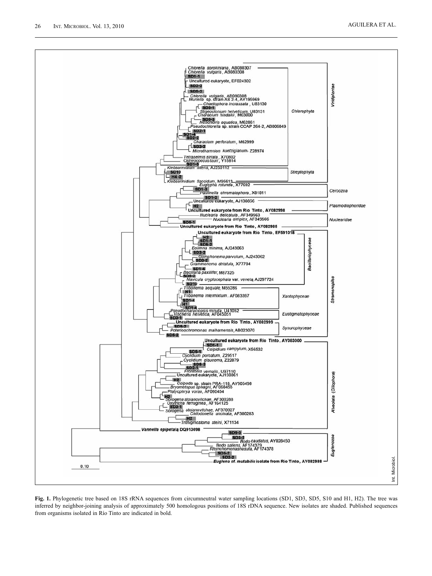

**Fig. 1.** Phylogenetic tree based on 18S rRNA sequences from circumneutral water sampling locations (SD1, SD3, SD5, S10 and H1, H2). The tree was inferred by neighbor-joining analysis of approximately 500 homologous positions of 18S rDNA sequence. New isolates are shaded. Published sequences from organisms isolated in Río Tinto are indicated in bold.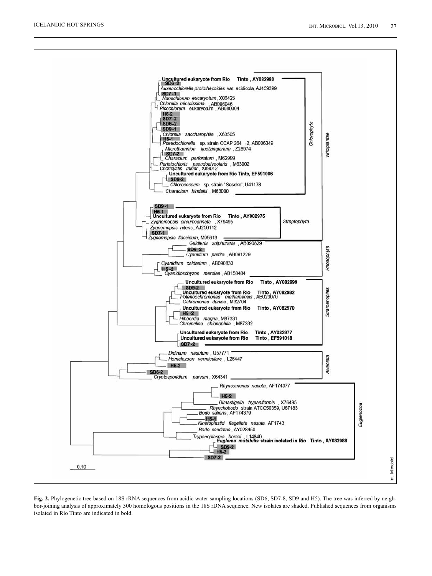

**Fig. 2.** Phylogenetic tree based on 18S rRNA sequences from acidic water sampling locations (SD6, SD7-8, SD9 and H5). The tree was inferred by neighbor-joining analysis of approximately 500 homologous positions in the 18S rDNA sequence. New isolates are shaded. Published sequences from organisms isolated in Río Tinto are indicated in bold.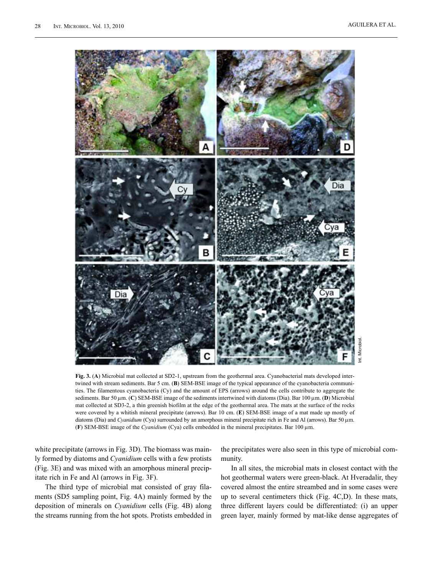

**Fig. 3.** (**A**) Microbial mat collected at SD2-1, upstream from the geothermal area. Cyanobacterial mats developed intertwined with stream sediments. Bar 5 cm. (**B**) SEM-BSE image of the typical appearance of the cyanobacteria communities. The filamentous cyanobacteria (Cy) and the amount of EPS (arrows) around the cells contribute to aggregate the sediments. Bar 50 μm. (**C**) SEM-BSE image of the sediments intertwined with diatoms (Dia). Bar 100 μm. (**D**) Microbial mat collected at SD3-2, a thin greenish biofilm at the edge of the geothermal area. The mats at the surface of the rocks were covered by a whitish mineral precipitate (arrows). Bar 10 cm. (**E**) SEM-BSE image of a mat made up mostly of diatoms (Dia) and *Cyanidium* (Cya) surrounded by an amorphous mineral precipitate rich in Fe and Al (arrows). Bar 50 μm. (**F**) SEM-BSE image of the *Cyanidium* (Cya) cells embedded in the mineral precipitates. Bar 100 μm.

white precipitate (arrows in Fig. 3D). The biomass was mainly formed by diatoms and *Cyanidium* cells with a few protists (Fig. 3E) and was mixed with an amorphous mineral precipitate rich in Fe and Al (arrows in Fig. 3F).

The third type of microbial mat consisted of gray filaments (SD5 sampling point, Fig. 4A) mainly formed by the deposition of minerals on *Cyanidium* cells (Fig. 4B) along the streams running from the hot spots. Protists embedded in the precipitates were also seen in this type of microbial community.

In all sites, the microbial mats in closest contact with the hot geothermal waters were green-black. At Hveradalir, they covered almost the entire streambed and in some cases were up to several centimeters thick (Fig. 4C,D). In these mats, three different layers could be differentiated: (i) an upper green layer, mainly formed by mat-like dense aggregates of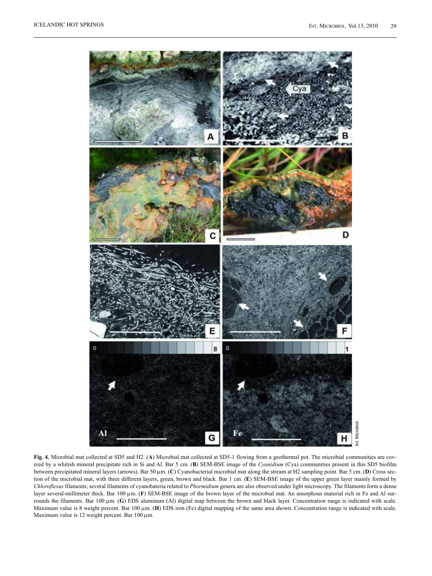

**Fig. 4.** Microbial mat collected at SD5 and H2. (**A**) Microbial mat collected at SD5-1 flowing from a geothermal pot. The microbial communities are covered by a whitish mineral precipitate rich in Si and Al. Bar 5 cm. (**B**) SEM-BSE image of the *Cyanidium* (Cya) communities present in this SD5 biofilm between precipitated mineral layers (arrows). Bar 50 μm. (**C**) Cyanobacterial microbial mat along the stream at H2 sampling point. Bar 5 cm. (**D**) Cross section of the microbial mat, with three different layers, green, brown and black. Bar 1 cm. (**E**) SEM-BSE image of the upper green layer mainly formed by *Chloroflexus* filaments; several filaments of cyanobateria related to *Phormidium* genera are also observed under light microscopy. The filaments form a dense layer several-millimeter thick. Bar 100 μm. (**F**) SEM-BSE image of the brown layer of the microbial mat. An amorphous material rich in Fe and Al surrounds the filaments. Bar 100 μm. (**G**) EDS aluminum (Al) digital map between the brown and black layer. Concentration range is indicated with scale. Maximum value is 8 weight percent. Bar 100 μm. (**H**) EDS iron (Fe) digital mapping of the same area shown. Concentration range is indicated with scale. Maximum value is 12 weight percent. Bar 100 μm.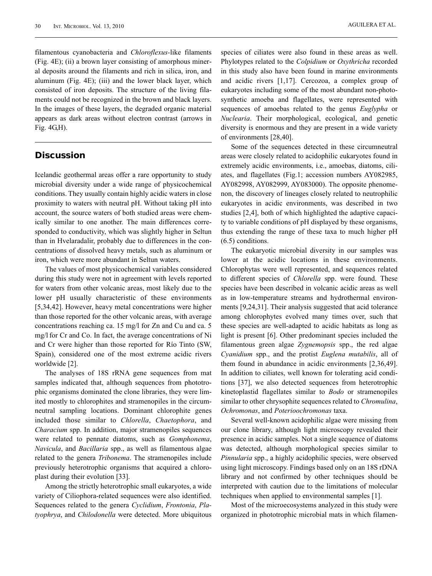AGUILERA ET AL.

filamentous cyanobacteria and *Chloroflexus-*like filaments (Fig. 4E); (ii) a brown layer consisting of amorphous mineral deposits around the filaments and rich in silica, iron, and aluminum (Fig. 4E); (iii) and the lower black layer, which consisted of iron deposits. The structure of the living filaments could not be recognized in the brown and black layers. In the images of these layers, the degraded organic material appears as dark areas without electron contrast (arrows in Fig. 4G,H).

### **Discussion**

Icelandic geothermal areas offer a rare opportunity to study microbial diversity under a wide range of physicochemical conditions. They usually contain highly acidic waters in close proximity to waters with neutral pH. Without taking pH into account, the source waters of both studied areas were chemically similar to one another. The main differences corresponded to conductivity, which was slightly higher in Seltun than in Hvelaradalir, probably due to differences in the concentrations of dissolved heavy metals, such as aluminum or iron, which were more abundant in Seltun waters.

The values of most physicochemical variables considered during this study were not in agreement with levels reported for waters from other volcanic areas, most likely due to the lower pH usually characteristic of these environments [5,34,42]. However, heavy metal concentrations were higher than those reported for the other volcanic areas, with average concentrations reaching ca. 15 mg/l for Zn and Cu and ca. 5 mg/l for Cr and Co. In fact, the average concentrations of Ni and Cr were higher than those reported for Río Tinto (SW, Spain), considered one of the most extreme acidic rivers worldwide [2].

The analyses of 18S rRNA gene sequences from mat samples indicated that, although sequences from phototrophic organisms dominated the clone libraries, they were limited mostly to chlorophites and stramenopiles in the circumneutral sampling locations. Dominant chlorophite genes included those similar to *Chlorella*, *Chaetophora*, and *Characium* spp. In addition, major stramenopiles sequences were related to pennate diatoms, such as *Gomphonema*, *Navicula*, and *Bacillaria* spp., as well as filamentous algae related to the genera *Tribonema*. The stramenopiles include previously heterotrophic organisms that acquired a chloroplast during their evolution [33].

Among the strictly heterotrophic small eukaryotes, a wide variety of Ciliophora-related sequences were also identified. Sequences related to the genera *Cyclidium*, *Frontonia*, *Platyophrya*, and *Chilodonella* were detected. More ubiquitous

species of ciliates were also found in these areas as well. Phylotypes related to the *Colpidium* or *Oxythricha* recorded in this study also have been found in marine environments and acidic rivers [1,17]. Cercozoa, a complex group of eukaryotes including some of the most abundant non-photosynthetic amoeba and flagellates, were represented with sequences of amoebas related to the genus *Euglypha* or *Nuclearia*. Their morphological, ecological, and genetic diversity is enormous and they are present in a wide variety of environments [28,40].

Some of the sequences detected in these circumneutral areas were closely related to acidophilic eukaryotes found in extremely acidic environments, i.e., amoebas, diatoms, ciliates, and flagellates (Fig.1; accession numbers AY082985, AY082998, AY082999, AY083000). The opposite phenomenon, the discovery of lineages closely related to neutrophilic eukaryotes in acidic environments, was described in two studies [2,4], both of which highlighted the adaptive capacity to variable conditions of pH displayed by these organisms, thus extending the range of these taxa to much higher pH (6.5) conditions.

The eukaryotic microbial diversity in our samples was lower at the acidic locations in these environments. Chlorophytas were well represented, and sequences related to different species of *Chlorella* spp. were found. These species have been described in volcanic acidic areas as well as in low-temperature streams and hydrothermal environments [9,24,31]. Their analysis suggested that acid tolerance among chlorophytes evolved many times over, such that these species are well-adapted to acidic habitats as long as light is present [6]. Other predominant species included the filamentous green algae *Zygnemopsis* spp., the red algae *Cyanidium* spp., and the protist *Euglena mutabilis*, all of them found in abundance in acidic environments [2,36,49]. In addition to ciliates, well known for tolerating acid conditions [37], we also detected sequences from heterotrophic kinetoplastid flagellates similar to *Bodo* or stramenopiles similar to other chrysophite sequences related to *Chromulina*, *Ochromonas*, and *Poterioochromonas* taxa.

Several well-known acidophilic algae were missing from our clone library, although light microscopy revealed their presence in acidic samples. Not a single sequence of diatoms was detected, although morphological species similar to *Pinnularia* spp., a highly acidophilic species, were observed using light microscopy. Findings based only on an 18S rDNA library and not confirmed by other techniques should be interpreted with caution due to the limitations of molecular techniques when applied to environmental samples [1].

Most of the microecosystems analyzed in this study were organized in phototrophic microbial mats in which filamen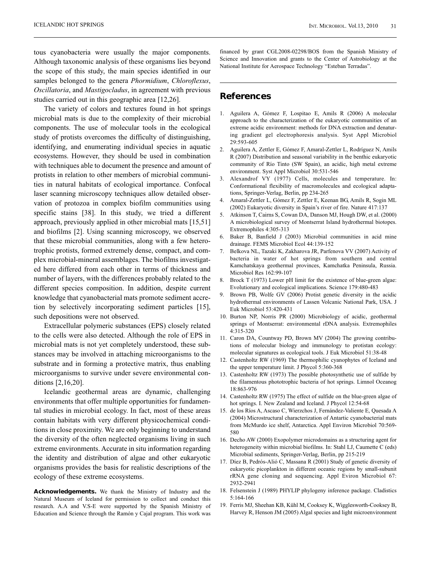tous cyanobacteria were usually the major components. Although taxonomic analysis of these organisms lies beyond the scope of this study, the main species identified in our samples belonged to the genera *Phormidium*, *Chloroflexus*, *Oscillatoria*, and *Mastigocladus*, in agreement with previous studies carried out in this geographic area [12,26].

The variety of colors and textures found in hot springs microbial mats is due to the complexity of their microbial components. The use of molecular tools in the ecological study of protists overcomes the difficulty of distinguishing, identifying, and enumerating individual species in aquatic ecosystems. However, they should be used in combination with techniques able to document the presence and amount of protists in relation to other members of microbial communities in natural habitats of ecological importance. Confocal laser scanning microscopy techniques allow detailed observation of protozoa in complex biofilm communities using specific stains [38]. In this study, we tried a different approach, previously applied in other microbial mats [15,51] and biofilms [2]. Using scanning microscopy, we observed that these microbial communities, along with a few heterotrophic protists, formed extremely dense, compact, and complex microbial-mineral assemblages. The biofilms investigated here differed from each other in terms of thickness and number of layers, with the differences probably related to the different species composition. In addition, despite current knowledge that cyanobacterial mats promote sediment accretion by selectively incorporating sediment particles [15], such depositions were not observed.

Extracellular polymeric substances (EPS) closely related to the cells were also detected. Although the role of EPS in microbial mats is not yet completely understood, these substances may be involved in attaching microorganisms to the substrate and in forming a protective matrix, thus enabling microorganisms to survive under severe environmental conditions [2,16,20].

Icelandic geothermal areas are dynamic, challenging environments that offer multiple opportunities for fundamental studies in microbial ecology. In fact, most of these areas contain habitats with very different physicochemical conditions in close proximity. We are only beginning to understand the diversity of the often neglected organisms living in such extreme environments. Accurate in situ information regarding the identity and distribution of algae and other eukaryotic organisms provides the basis for realistic descriptions of the ecology of these extreme ecosystems.

**Acknowledgements.** We thank the Ministry of Industry and the Natural Museum of Iceland for permission to collect and conduct this research. A.A and V.S-E were supported by the Spanish Ministry of Education and Science through the Ramón y Cajal program. This work was

financed by grant CGL2008-02298/BOS from the Spanish Ministry of Science and Innovation and grants to the Center of Astrobiology at the National Institute for Aerospace Technology "Esteban Terradas".

#### **References**

- 1. Aguilera A, Gómez F, Lospitao E, Amils R (2006) A molecular approach to the characterization of the eukaryotic communities of an extreme acidic environment: methods for DNA extraction and denaturing gradient gel electrophoresis analysis. Syst Appl Microbiol 29:593-605
- 2. Aguilera A, Zettler E, Gómez F, Amaral-Zettler L, Rodríguez N, Amils R (2007) Distribution and seasonal variability in the benthic eukaryotic community of Río Tinto (SW Spain), an acidic, high metal extreme environment. Syst Appl Microbiol 30:531-546
- 3. Alexandrof VY (1977) Cells, molecules and temperature. In: Conformational flexibility of macromolecules and ecological adaptations, Springer-Verlag, Berlin, pp 234-265
- 4. Amaral-Zettler L, Gómez F, Zettler E, Keenan BG, Amils R, Sogin ML (2002) Eukaryotic diversity in Spain's river of fire. Nature 417:137
- 5. Atkinson T, Cairns S, Cowan DA, Danson MJ, Hough DW, et al. (2000) A microbiological survey of Montserrat Island hydrothermal biotopes. Extremophiles 4:305-313
- 6. Baker B, Banfield J (2003) Microbial communities in acid mine drainage. FEMS Microbiol Ecol 44:139-152
- 7. Belkova NL, Tazaki K, Zakharova JR, Parfenova VV (2007) Activity of bacteria in water of hot springs from southern and central Kamchatskaya geothermal provinces, Kamchatka Peninsula, Russia. Microbiol Res 162:99-107
- 8. Brock T (1973) Lower pH limit for the existence of blue-green algae: Evolutionary and ecological implications. Science 179:480-483
- 9. Brown PB, Wolfe GV (2006) Protist genetic diversity in the acidic hydrothermal environments of Lassen Volcanic National Park, USA. J Euk Microbiol 53:420-431
- 10. Burton NP, Norris PR (2000) Microbiology of acidic, geothermal springs of Montserrat: environmental rDNA analysis. Extremophiles 4:315-320
- 11. Caron DA, Countway PD, Brown MV (2004) The growing contributions of molecular biology and immunology to protistan ecology: molecular signatures as ecological tools. J Euk Microbiol 51:38-48
- 12. Castenholtz RW (1969) The thermophilic cyanophytes of Iceland and the upper temperature limit. J Phycol 5:360-368
- 13. Castenholtz RW (1973) The possible photosynthetic use of sulfide by the filamentous phototrophic bacteria of hot springs. Limnol Oceanog 18:863-976
- 14. Castenholtz RW (1975) The effect of sulfide on the blue-green algae of hot springs. I. New Zealand and Iceland. J Phycol 12:54-68
- 15. de los Ríos A, Ascaso C, Wierzchos J, Fernández-Valiente E, Quesada A (2004) Microstructural characterization of Antartic cyanobacterial mats from McMurdo ice shelf, Antarctica. Appl Environ Microbiol 70:569- 580
- 16. Decho AW (2000) Exopolymer microdomains as a structuring agent for heterogeneity within microbial biofilms. In: Stahl LJ, Caumette C (eds) Microbial sediments, Springer-Verlag, Berlin, pp 215-219
- 17. Díez B, Pedrós-Alió C, Massana R (2001) Study of genetic diversity of eukaryotic picoplankton in different oceanic regions by small-subunit rRNA gene cloning and sequencing. Appl Eviron Microbiol 67: 2932-2941
- 18. Felsenstein J (1989) PHYLIP phylogeny inference package. Cladistics 5:164-166
- 19. Ferris MJ, Sheehan KB, Kühl M, Cooksey K, Wigglesworth-Cooksey B, Harvey R, Henson JM (2005) Algal species and light microenvironment